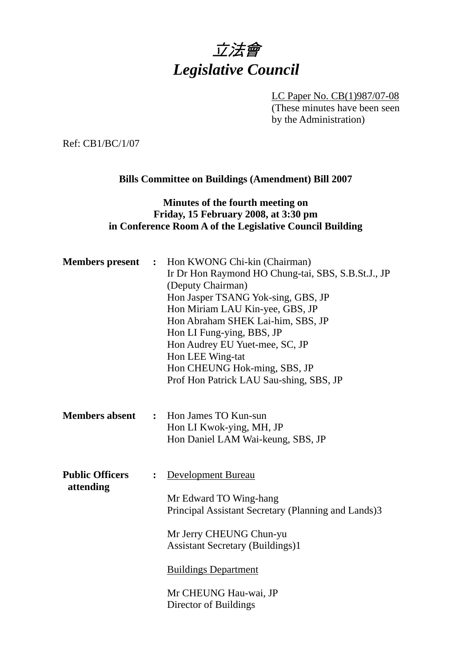

LC Paper No. CB(1)987/07-08 (These minutes have been seen by the Administration)

Ref: CB1/BC/1/07

## **Bills Committee on Buildings (Amendment) Bill 2007**

### **Minutes of the fourth meeting on Friday, 15 February 2008, at 3:30 pm in Conference Room A of the Legislative Council Building**

| <b>Members present :</b>            |                | Hon KWONG Chi-kin (Chairman)<br>Ir Dr Hon Raymond HO Chung-tai, SBS, S.B.St.J., JP<br>(Deputy Chairman)<br>Hon Jasper TSANG Yok-sing, GBS, JP<br>Hon Miriam LAU Kin-yee, GBS, JP<br>Hon Abraham SHEK Lai-him, SBS, JP<br>Hon LI Fung-ying, BBS, JP<br>Hon Audrey EU Yuet-mee, SC, JP |
|-------------------------------------|----------------|--------------------------------------------------------------------------------------------------------------------------------------------------------------------------------------------------------------------------------------------------------------------------------------|
|                                     |                | Hon LEE Wing-tat<br>Hon CHEUNG Hok-ming, SBS, JP<br>Prof Hon Patrick LAU Sau-shing, SBS, JP                                                                                                                                                                                          |
| <b>Members absent</b>               | $\ddot{\cdot}$ | Hon James TO Kun-sun<br>Hon LI Kwok-ying, MH, JP<br>Hon Daniel LAM Wai-keung, SBS, JP                                                                                                                                                                                                |
| <b>Public Officers</b><br>attending | $\ddot{\cdot}$ | <b>Development Bureau</b><br>Mr Edward TO Wing-hang<br>Principal Assistant Secretary (Planning and Lands)3<br>Mr Jerry CHEUNG Chun-yu<br><b>Assistant Secretary (Buildings)1</b><br><b>Buildings Department</b><br>Mr CHEUNG Hau-wai, JP                                             |
|                                     |                | Director of Buildings                                                                                                                                                                                                                                                                |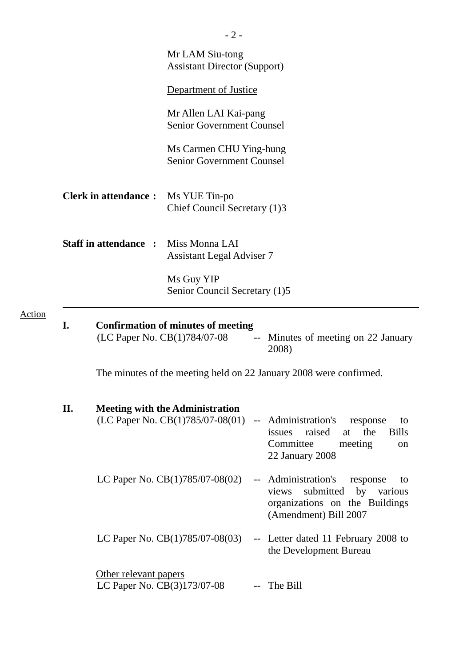|        |     |                                                      | $-2-$                                                                          |        |                                                                                                                                         |
|--------|-----|------------------------------------------------------|--------------------------------------------------------------------------------|--------|-----------------------------------------------------------------------------------------------------------------------------------------|
|        |     |                                                      | Mr LAM Siu-tong<br><b>Assistant Director (Support)</b>                         |        |                                                                                                                                         |
|        |     |                                                      | Department of Justice                                                          |        |                                                                                                                                         |
|        |     |                                                      | Mr Allen LAI Kai-pang<br><b>Senior Government Counsel</b>                      |        |                                                                                                                                         |
|        |     |                                                      | Ms Carmen CHU Ying-hung<br><b>Senior Government Counsel</b>                    |        |                                                                                                                                         |
|        |     | <b>Clerk in attendance:</b>                          | Ms YUE Tin-po<br>Chief Council Secretary (1)3                                  |        |                                                                                                                                         |
|        |     | <b>Staff in attendance:</b>                          | Miss Monna LAI<br><b>Assistant Legal Adviser 7</b>                             |        |                                                                                                                                         |
|        |     |                                                      | Ms Guy YIP<br>Senior Council Secretary (1)5                                    |        |                                                                                                                                         |
| Action | I.  |                                                      | <b>Confirmation of minutes of meeting</b><br>(LC Paper No. CB(1)784/07-08      |        | -- Minutes of meeting on 22 January<br>2008)                                                                                            |
|        |     |                                                      |                                                                                |        | The minutes of the meeting held on 22 January 2008 were confirmed.                                                                      |
|        | II. |                                                      | <b>Meeting with the Administration</b><br>(LC Paper No. $CB(1)785/07-08(01)$ ) |        | -- Administration's<br>response<br>to<br>raised<br>the<br>issues<br><b>Bills</b><br>at<br>Committee<br>meeting<br>on<br>22 January 2008 |
|        |     |                                                      | LC Paper No. $CB(1)785/07-08(02)$                                              | $\sim$ | Administration's<br>response<br>to<br>submitted<br>by<br>views<br>various<br>organizations on the Buildings<br>(Amendment) Bill 2007    |
|        |     |                                                      | LC Paper No. $CB(1)785/07-08(03)$                                              |        | -- Letter dated 11 February 2008 to<br>the Development Bureau                                                                           |
|        |     | Other relevant papers<br>LC Paper No. CB(3)173/07-08 |                                                                                |        | The Bill                                                                                                                                |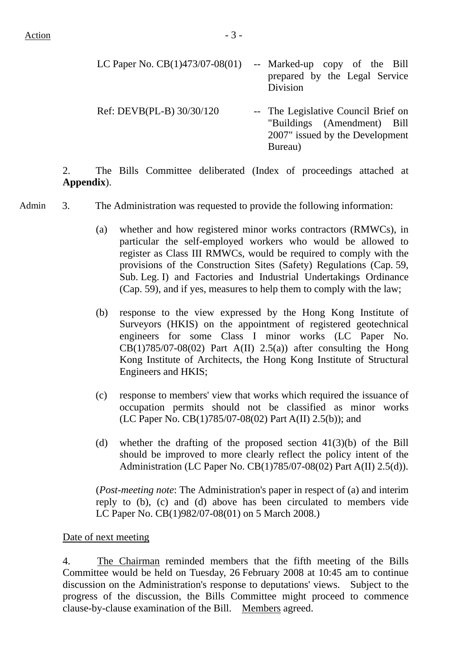| LC Paper No. $CB(1)473/07-08(01)$ | -- Marked-up copy of the Bill<br>prepared by the Legal Service<br>Division                                       |
|-----------------------------------|------------------------------------------------------------------------------------------------------------------|
| Ref: DEVB(PL-B) 30/30/120         | -- The Legislative Council Brief on<br>"Buildings (Amendment) Bill<br>2007" issued by the Development<br>Bureau) |

2. The Bills Committee deliberated (Index of proceedings attached at **Appendix**).

Admin 3. The Administration was requested to provide the following information:

- (a) whether and how registered minor works contractors (RMWCs), in particular the self-employed workers who would be allowed to register as Class III RMWCs, would be required to comply with the provisions of the Construction Sites (Safety) Regulations (Cap. 59, Sub. Leg. I) and Factories and Industrial Undertakings Ordinance (Cap. 59), and if yes, measures to help them to comply with the law;
- (b) response to the view expressed by the Hong Kong Institute of Surveyors (HKIS) on the appointment of registered geotechnical engineers for some Class I minor works (LC Paper No.  $CB(1)785/07-08(02)$  Part A(II) 2.5(a)) after consulting the Hong Kong Institute of Architects, the Hong Kong Institute of Structural Engineers and HKIS;
- (c) response to members' view that works which required the issuance of occupation permits should not be classified as minor works (LC Paper No. CB(1)785/07-08(02) Part A(II) 2.5(b)); and
- (d) whether the drafting of the proposed section 41(3)(b) of the Bill should be improved to more clearly reflect the policy intent of the Administration (LC Paper No. CB(1)785/07-08(02) Part A(II) 2.5(d)).

(*Post-meeting note*: The Administration's paper in respect of (a) and interim reply to (b), (c) and (d) above has been circulated to members vide LC Paper No. CB(1)982/07-08(01) on 5 March 2008.)

#### Date of next meeting

4. The Chairman reminded members that the fifth meeting of the Bills Committee would be held on Tuesday, 26 February 2008 at 10:45 am to continue discussion on the Administration's response to deputations' views. Subject to the progress of the discussion, the Bills Committee might proceed to commence clause-by-clause examination of the Bill. Members agreed.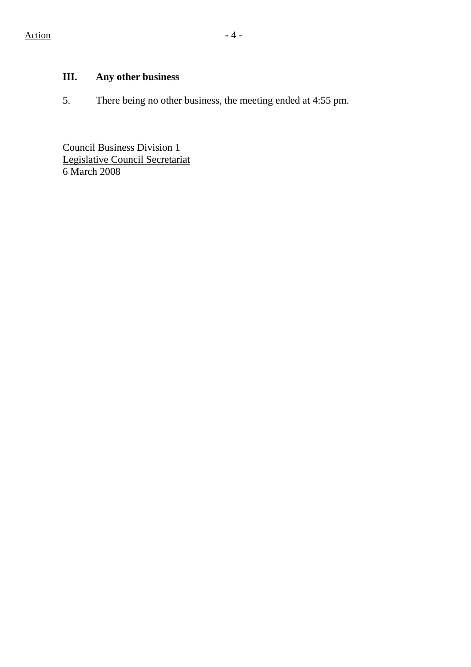# **III. Any other business**

5. There being no other business, the meeting ended at 4:55 pm.

Council Business Division 1 Legislative Council Secretariat 6 March 2008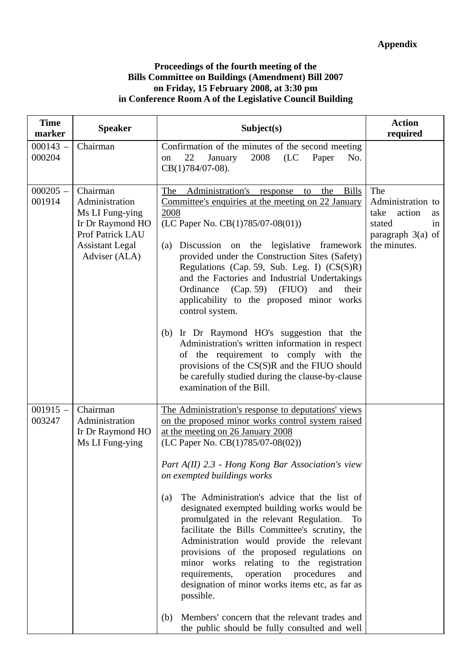#### **Proceedings of the fourth meeting of the Bills Committee on Buildings (Amendment) Bill 2007 on Friday, 15 February 2008, at 3:30 pm in Conference Room A of the Legislative Council Building**

| <b>Time</b><br>marker | <b>Speaker</b>                                                                                                                   | Subject(s)                                                                                                                                                                                                                                                                                                                                                                                                                                                                                                                                                                                                                                                                                                                                                                                                                                     | <b>Action</b><br>required                                                                               |
|-----------------------|----------------------------------------------------------------------------------------------------------------------------------|------------------------------------------------------------------------------------------------------------------------------------------------------------------------------------------------------------------------------------------------------------------------------------------------------------------------------------------------------------------------------------------------------------------------------------------------------------------------------------------------------------------------------------------------------------------------------------------------------------------------------------------------------------------------------------------------------------------------------------------------------------------------------------------------------------------------------------------------|---------------------------------------------------------------------------------------------------------|
| $000143 -$<br>000204  | Chairman                                                                                                                         | Confirmation of the minutes of the second meeting<br>22<br>January<br>2008<br>(LC)<br>Paper<br>No.<br>on<br>CB(1)784/07-08).                                                                                                                                                                                                                                                                                                                                                                                                                                                                                                                                                                                                                                                                                                                   |                                                                                                         |
| $000205 -$<br>001914  | Chairman<br>Administration<br>Ms LI Fung-ying<br>Ir Dr Raymond HO<br>Prof Patrick LAU<br><b>Assistant Legal</b><br>Adviser (ALA) | Administration's<br>The<br>the<br><b>Bills</b><br>response<br>to<br>Committee's enquiries at the meeting on 22 January<br>2008<br>(LC Paper No. $CB(1)785/07-08(01)$ )<br>Discussion on the legislative framework<br>(a)<br>provided under the Construction Sites (Safety)<br>Regulations (Cap. 59, Sub. Leg. I) (CS(S)R)<br>and the Factories and Industrial Undertakings<br>Ordinance (Cap. 59) (FIUO)<br>and<br>their<br>applicability to the proposed minor works<br>control system.<br>(b) Ir Dr Raymond HO's suggestion that the<br>Administration's written information in respect<br>of the requirement to comply with the<br>provisions of the CS(S)R and the FIUO should<br>be carefully studied during the clause-by-clause<br>examination of the Bill.                                                                             | The<br>Administration to<br>take<br>action<br>as<br>stated<br>in<br>paragraph $3(a)$ of<br>the minutes. |
| $001915 -$<br>003247  | Chairman<br>Administration<br>Ir Dr Raymond HO<br>Ms LI Fung-ying                                                                | The Administration's response to deputations' views<br>on the proposed minor works control system raised<br>at the meeting on 26 January 2008<br>(LC Paper No. CB(1)785/07-08(02))<br>Part A(II) 2.3 - Hong Kong Bar Association's view<br>on exempted buildings works<br>The Administration's advice that the list of<br>(a)<br>designated exempted building works would be<br>promulgated in the relevant Regulation.<br>Тo<br>facilitate the Bills Committee's scrutiny, the<br>Administration would provide the relevant<br>provisions of the proposed regulations on<br>minor works relating to the registration<br>operation procedures<br>requirements,<br>and<br>designation of minor works items etc, as far as<br>possible.<br>Members' concern that the relevant trades and<br>(b)<br>the public should be fully consulted and well |                                                                                                         |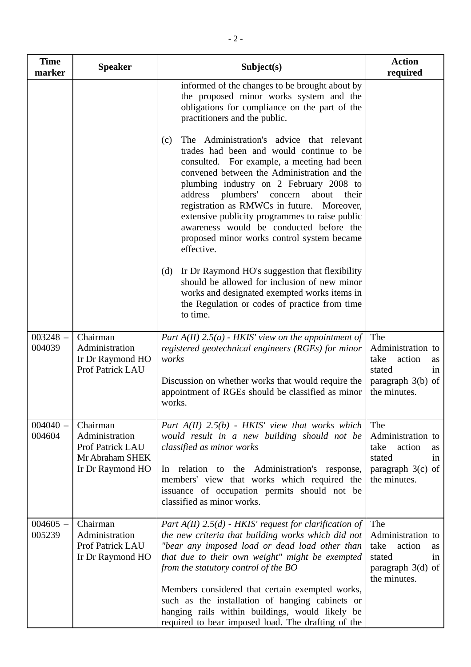| <b>Time</b><br>marker | <b>Speaker</b>                                                                        | Subject(s)                                                                                                                                                                                                                                                                                                                                                                                                                                                                                          | <b>Action</b><br>required                                                                               |
|-----------------------|---------------------------------------------------------------------------------------|-----------------------------------------------------------------------------------------------------------------------------------------------------------------------------------------------------------------------------------------------------------------------------------------------------------------------------------------------------------------------------------------------------------------------------------------------------------------------------------------------------|---------------------------------------------------------------------------------------------------------|
|                       |                                                                                       | informed of the changes to be brought about by<br>the proposed minor works system and the<br>obligations for compliance on the part of the<br>practitioners and the public.                                                                                                                                                                                                                                                                                                                         |                                                                                                         |
|                       |                                                                                       | The Administration's advice that relevant<br>(c)<br>trades had been and would continue to be<br>consulted. For example, a meeting had been<br>convened between the Administration and the<br>plumbing industry on 2 February 2008 to<br>plumbers'<br>about<br>address<br>concern<br>their<br>registration as RMWCs in future.<br>Moreover,<br>extensive publicity programmes to raise public<br>awareness would be conducted before the<br>proposed minor works control system became<br>effective. |                                                                                                         |
|                       |                                                                                       | Ir Dr Raymond HO's suggestion that flexibility<br>(d)<br>should be allowed for inclusion of new minor<br>works and designated exempted works items in<br>the Regulation or codes of practice from time<br>to time.                                                                                                                                                                                                                                                                                  |                                                                                                         |
| $003248 -$<br>004039  | Chairman<br>Administration<br>Ir Dr Raymond HO<br><b>Prof Patrick LAU</b>             | Part $A(II)$ 2.5(a) - HKIS' view on the appointment of<br>registered geotechnical engineers (RGEs) for minor<br>works<br>Discussion on whether works that would require the                                                                                                                                                                                                                                                                                                                         | The<br>Administration to<br>action<br>take<br><b>as</b><br>stated<br>1n<br>paragraph $3(b)$ of          |
|                       |                                                                                       | appointment of RGEs should be classified as minor<br>works.                                                                                                                                                                                                                                                                                                                                                                                                                                         | the minutes.                                                                                            |
| $004040 -$<br>004604  | Chairman<br>Administration<br>Prof Patrick LAU<br>Mr Abraham SHEK<br>Ir Dr Raymond HO | Part $A(II)$ 2.5(b) - HKIS' view that works which<br>would result in a new building should not be<br>classified as minor works<br>In relation to the Administration's response,<br>members' view that works which required the<br>issuance of occupation permits should not be<br>classified as minor works.                                                                                                                                                                                        | The<br>Administration to<br>action<br>take<br>as<br>stated<br>in<br>paragraph $3(c)$ of<br>the minutes. |
| $004605 -$<br>005239  | Chairman<br>Administration<br>Prof Patrick LAU<br>Ir Dr Raymond HO                    | Part $A(II)$ 2.5(d) - HKIS' request for clarification of<br>the new criteria that building works which did not<br>"bear any imposed load or dead load other than<br>that due to their own weight" might be exempted<br>from the statutory control of the BO                                                                                                                                                                                                                                         | The<br>Administration to<br>take<br>action<br>as<br>stated<br>in<br>paragraph $3(d)$ of<br>the minutes. |
|                       |                                                                                       | Members considered that certain exempted works,<br>such as the installation of hanging cabinets or<br>hanging rails within buildings, would likely be<br>required to bear imposed load. The drafting of the                                                                                                                                                                                                                                                                                         |                                                                                                         |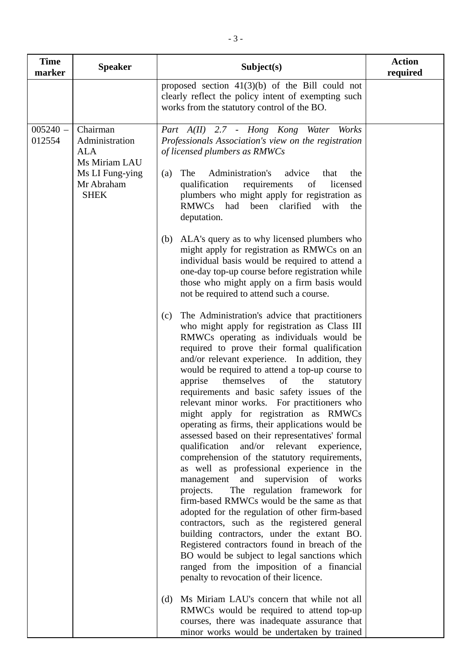| <b>Time</b><br>marker | <b>Speaker</b>                                                                                            | Subject(s)                                                                                                                                                                                                                                                                                                                                                                                                                                                                                                                                                                                                                                                                                                                                                                                                                                                                                                                                                                                                                                                                                                                                                                                                                                                                                                                                                                                                                                                                                                                                                                                                                                                                                                                                                                                                                                                                                                                                                                                                                                                                                                         | <b>Action</b><br>required |
|-----------------------|-----------------------------------------------------------------------------------------------------------|--------------------------------------------------------------------------------------------------------------------------------------------------------------------------------------------------------------------------------------------------------------------------------------------------------------------------------------------------------------------------------------------------------------------------------------------------------------------------------------------------------------------------------------------------------------------------------------------------------------------------------------------------------------------------------------------------------------------------------------------------------------------------------------------------------------------------------------------------------------------------------------------------------------------------------------------------------------------------------------------------------------------------------------------------------------------------------------------------------------------------------------------------------------------------------------------------------------------------------------------------------------------------------------------------------------------------------------------------------------------------------------------------------------------------------------------------------------------------------------------------------------------------------------------------------------------------------------------------------------------------------------------------------------------------------------------------------------------------------------------------------------------------------------------------------------------------------------------------------------------------------------------------------------------------------------------------------------------------------------------------------------------------------------------------------------------------------------------------------------------|---------------------------|
|                       |                                                                                                           | proposed section $41(3)(b)$ of the Bill could not<br>clearly reflect the policy intent of exempting such<br>works from the statutory control of the BO.                                                                                                                                                                                                                                                                                                                                                                                                                                                                                                                                                                                                                                                                                                                                                                                                                                                                                                                                                                                                                                                                                                                                                                                                                                                                                                                                                                                                                                                                                                                                                                                                                                                                                                                                                                                                                                                                                                                                                            |                           |
| $005240 -$<br>012554  | Chairman<br>Administration<br><b>ALA</b><br>Ms Miriam LAU<br>Ms LI Fung-ying<br>Mr Abraham<br><b>SHEK</b> | Part A(II) 2.7 - Hong Kong Water<br>Works<br>Professionals Association's view on the registration<br>of licensed plumbers as RMWCs<br>Administration's<br>advice<br>The<br>that<br>the<br>(a)<br>qualification<br>requirements<br>of<br>licensed<br>plumbers who might apply for registration as<br>RMWCs<br>had<br>clarified<br>been<br>with<br>the<br>deputation.<br>ALA's query as to why licensed plumbers who<br>(b)<br>might apply for registration as RMWCs on an<br>individual basis would be required to attend a<br>one-day top-up course before registration while<br>those who might apply on a firm basis would<br>not be required to attend such a course.<br>The Administration's advice that practitioners<br>(c)<br>who might apply for registration as Class III<br>RMWCs operating as individuals would be<br>required to prove their formal qualification<br>and/or relevant experience. In addition, they<br>would be required to attend a top-up course to<br>themselves<br>apprise<br>of<br>the<br>statutory<br>requirements and basic safety issues of the<br>relevant minor works. For practitioners who<br>might apply for registration as RMWCs<br>operating as firms, their applications would be<br>assessed based on their representatives' formal<br>and/or relevant experience,<br>qualification<br>comprehension of the statutory requirements,<br>as well as professional experience in the<br>supervision<br>management<br>and<br>of<br>works<br>The regulation framework for<br>projects.<br>firm-based RMWCs would be the same as that<br>adopted for the regulation of other firm-based<br>contractors, such as the registered general<br>building contractors, under the extant BO.<br>Registered contractors found in breach of the<br>BO would be subject to legal sanctions which<br>ranged from the imposition of a financial<br>penalty to revocation of their licence.<br>Ms Miriam LAU's concern that while not all<br>(d)<br>RMWCs would be required to attend top-up<br>courses, there was inadequate assurance that<br>minor works would be undertaken by trained |                           |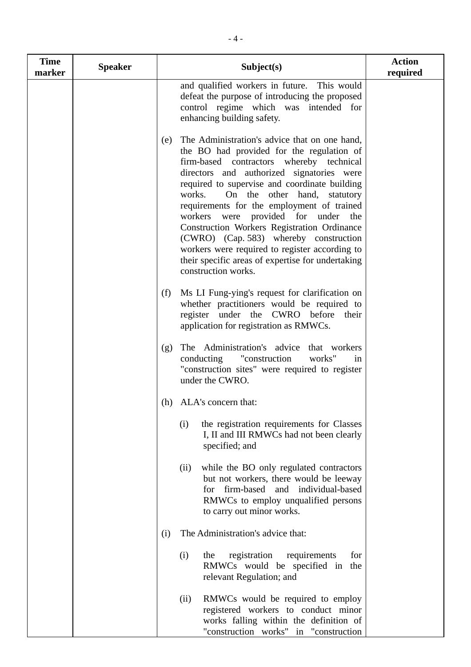| <b>Time</b><br>marker | <b>Speaker</b> | Subject(s)                                                                                                                                                                                                                                                                                                                                                                                                                                                                                                                                                                                              | <b>Action</b><br>required |
|-----------------------|----------------|---------------------------------------------------------------------------------------------------------------------------------------------------------------------------------------------------------------------------------------------------------------------------------------------------------------------------------------------------------------------------------------------------------------------------------------------------------------------------------------------------------------------------------------------------------------------------------------------------------|---------------------------|
|                       |                | and qualified workers in future. This would<br>defeat the purpose of introducing the proposed<br>control regime which was intended for<br>enhancing building safety.                                                                                                                                                                                                                                                                                                                                                                                                                                    |                           |
|                       |                | The Administration's advice that on one hand,<br>(e)<br>the BO had provided for the regulation of<br>firm-based contractors whereby technical<br>directors and authorized signatories were<br>required to supervise and coordinate building<br>works.<br>On the other hand, statutory<br>requirements for the employment of trained<br>were provided for under<br>workers<br>the<br>Construction Workers Registration Ordinance<br>(CWRO) (Cap. 583) whereby construction<br>workers were required to register according to<br>their specific areas of expertise for undertaking<br>construction works. |                           |
|                       |                | Ms LI Fung-ying's request for clarification on<br>(f)<br>whether practitioners would be required to<br>register under the CWRO before<br>their<br>application for registration as RMWCs.                                                                                                                                                                                                                                                                                                                                                                                                                |                           |
|                       |                | The Administration's advice that workers<br>(g)<br>"construction<br>conducting<br>works"<br>in<br>"construction sites" were required to register<br>under the CWRO.                                                                                                                                                                                                                                                                                                                                                                                                                                     |                           |
|                       |                | (h) ALA's concern that:                                                                                                                                                                                                                                                                                                                                                                                                                                                                                                                                                                                 |                           |
|                       |                | the registration requirements for Classes<br>(i)<br>I, II and III RMWCs had not been clearly<br>specified; and                                                                                                                                                                                                                                                                                                                                                                                                                                                                                          |                           |
|                       |                | while the BO only regulated contractors<br>(ii)<br>but not workers, there would be leeway<br>for firm-based and individual-based<br>RMWCs to employ unqualified persons<br>to carry out minor works.                                                                                                                                                                                                                                                                                                                                                                                                    |                           |
|                       |                | The Administration's advice that:<br>(i)                                                                                                                                                                                                                                                                                                                                                                                                                                                                                                                                                                |                           |
|                       |                | registration<br>requirements<br>for<br>(i)<br>the<br>RMWCs would be specified in the<br>relevant Regulation; and                                                                                                                                                                                                                                                                                                                                                                                                                                                                                        |                           |
|                       |                | RMWCs would be required to employ<br>(ii)<br>registered workers to conduct minor<br>works falling within the definition of<br>"construction works" in "construction                                                                                                                                                                                                                                                                                                                                                                                                                                     |                           |